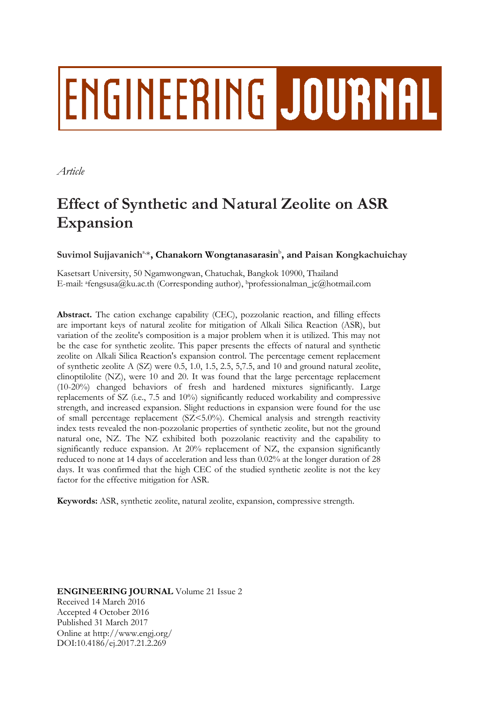# **ENGINEERING JOURNAL**

*Article*

# **Effect of Synthetic and Natural Zeolite on ASR Expansion**

 $\mathbf{S}$ uvimol  $\mathbf{S}$ ujjavanich $\mathbf{A}^{a,*}$ , Chanakorn Wongtanasarasin $\mathbf{b}$ , and Paisan Kongkachuichay

Kasetsart University, 50 Ngamwongwan, Chatuchak, Bangkok 10900, Thailand E-mail: afengsusa@ku.ac.th (Corresponding author), <sup>b</sup>professionalman\_jc@hotmail.com

**Abstract.** The cation exchange capability (CEC), pozzolanic reaction, and filling effects are important keys of natural zeolite for mitigation of Alkali Silica Reaction (ASR), but variation of the zeolite's composition is a major problem when it is utilized. This may not be the case for synthetic zeolite. This paper presents the effects of natural and synthetic zeolite on Alkali Silica Reaction's expansion control. The percentage cement replacement of synthetic zeolite A (SZ) were 0.5, 1.0, 1.5, 2.5, 5,7.5, and 10 and ground natural zeolite, clinoptilolite (NZ), were 10 and 20. It was found that the large percentage replacement (10-20%) changed behaviors of fresh and hardened mixtures significantly. Large replacements of SZ (i.e., 7.5 and 10%) significantly reduced workability and compressive strength, and increased expansion. Slight reductions in expansion were found for the use of small percentage replacement (SZ<5.0%). Chemical analysis and strength reactivity index tests revealed the non-pozzolanic properties of synthetic zeolite, but not the ground natural one, NZ. The NZ exhibited both pozzolanic reactivity and the capability to significantly reduce expansion. At 20% replacement of NZ, the expansion significantly reduced to none at 14 days of acceleration and less than 0.02% at the longer duration of 28 days. It was confirmed that the high CEC of the studied synthetic zeolite is not the key factor for the effective mitigation for ASR.

**Keywords:** ASR, synthetic zeolite, natural zeolite, expansion, compressive strength.

**ENGINEERING JOURNAL** Volume 21 Issue 2 Received 14 March 2016 Accepted 4 October 2016 Published 31 March 2017 Online at http://www.engj.org/ DOI:10.4186/ej.2017.21.2.269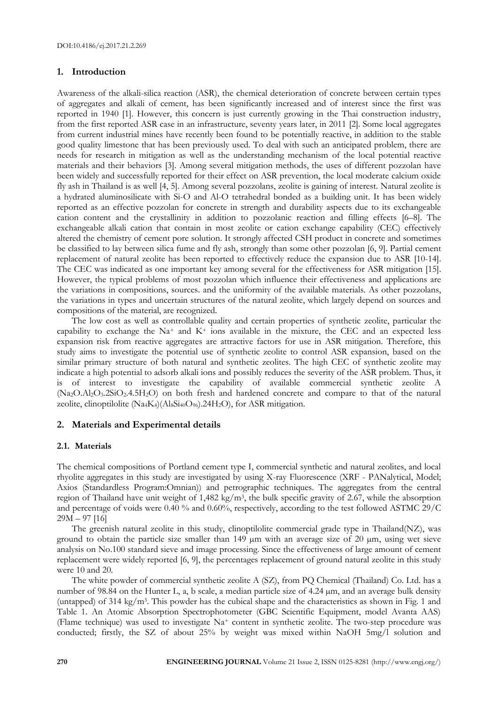# **1. Introduction**

Awareness of the alkali-silica reaction (ASR), the chemical deterioration of concrete between certain types of aggregates and alkali of cement, has been significantly increased and of interest since the first was reported in 1940 [1]. However, this concern is just currently growing in the Thai construction industry, from the first reported ASR case in an infrastructure, seventy years later, in 2011 [2]. Some local aggregates from current industrial mines have recently been found to be potentially reactive, in addition to the stable good quality limestone that has been previously used. To deal with such an anticipated problem, there are needs for research in mitigation as well as the understanding mechanism of the local potential reactive materials and their behaviors [3]. Among several mitigation methods, the uses of different pozzolan have been widely and successfully reported for their effect on ASR prevention, the local moderate calcium oxide fly ash in Thailand is as well [4, 5]. Among several pozzolans, zeolite is gaining of interest. Natural zeolite is a hydrated aluminosilicate with Si-O and Al-O tetrahedral bonded as a building unit. It has been widely reported as an effective pozzolan for concrete in strength and durability aspects due to its exchangeable cation content and the crystallinity in addition to pozzolanic reaction and filling effects [6–8]. The exchangeable alkali cation that contain in most zeolite or cation exchange capability (CEC) effectively altered the chemistry of cement pore solution. It strongly affected CSH product in concrete and sometimes be classified to lay between silica fume and fly ash, strongly than some other pozzolan [6, 9]. Partial cement replacement of natural zeolite has been reported to effectively reduce the expansion due to ASR [10-14]. The CEC was indicated as one important key among several for the effectiveness for ASR mitigation [15]. However, the typical problems of most pozzolan which influence their effectiveness and applications are the variations in compositions, sources. and the uniformity of the available materials. As other pozzolans, the variations in types and uncertain structures of the natural zeolite, which largely depend on sources and compositions of the material, are recognized.

The low cost as well as controllable quality and certain properties of synthetic zeolite, particular the capability to exchange the  $Na^+$  and  $K^+$  ions available in the mixture, the CEC and an expected less expansion risk from reactive aggregates are attractive factors for use in ASR mitigation. Therefore, this study aims to investigate the potential use of synthetic zeolite to control ASR expansion, based on the similar primary structure of both natural and synthetic zeolites. The high CEC of synthetic zeolite may indicate a high potential to adsorb alkali ions and possibly reduces the severity of the ASR problem. Thus, it is of interest to investigate the capability of available commercial synthetic zeolite A (Na2O.Al2O3.2SiO2.4.5H2O) on both fresh and hardened concrete and compare to that of the natural zeolite, clinoptilolite  $(Na_4K_4)(Al_8Si_{40}O_{96})$ . 24H<sub>2</sub>O), for ASR mitigation.

# **2. Materials and Experimental details**

# **2.1. Materials**

The chemical compositions of Portland cement type I, commercial synthetic and natural zeolites, and local rhyolite aggregates in this study are investigated by using X-ray Fluorescence (XRF - PANalytical, Model; Axios (Standardless Program:Omnian)) and petrographic techniques. The aggregates from the central region of Thailand have unit weight of 1,482 kg/m<sup>3</sup>, the bulk specific gravity of 2.67, while the absorption and percentage of voids were 0.40 % and 0.60%, respectively, according to the test followed ASTMC 29/C 29M – 97 [16]

The greenish natural zeolite in this study, clinoptilolite commercial grade type in Thailand(NZ), was ground to obtain the particle size smaller than 149 µm with an average size of 20 µm, using wet sieve analysis on No.100 standard sieve and image processing. Since the effectiveness of large amount of cement replacement were widely reported [6, 9], the percentages replacement of ground natural zeolite in this study were 10 and 20.

The white powder of commercial synthetic zeolite A (SZ), from PQ Chemical (Thailand) Co. Ltd. has a number of 98.84 on the Hunter L, a, b scale, a median particle size of 4.24  $\mu$ m, and an average bulk density (untapped) of 314 kg/m<sup>3</sup> . This powder has the cubical shape and the characteristics as shown in Fig. 1 and Table 1. An Atomic Absorption Spectrophotometer (GBC Scientific Equipment, model Avanta AAS) (Flame technique) was used to investigate Na<sup>+</sup> content in synthetic zeolite. The two-step procedure was conducted; firstly, the SZ of about 25% by weight was mixed within NaOH 5mg/l solution and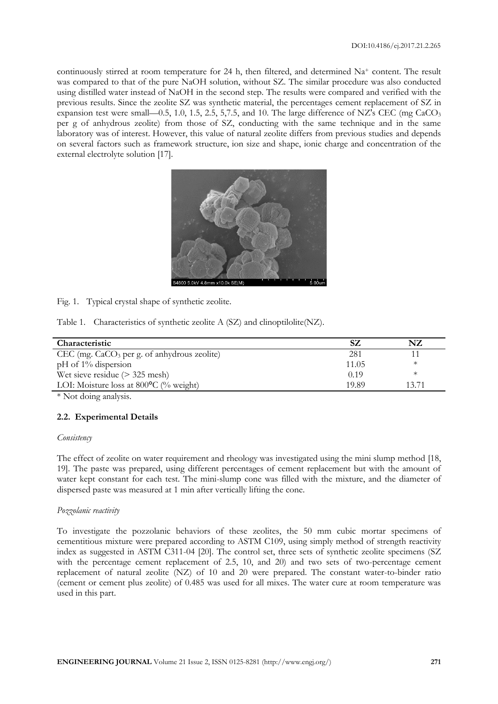continuously stirred at room temperature for 24 h, then filtered, and determined Na<sup>+</sup> content. The result was compared to that of the pure NaOH solution, without SZ. The similar procedure was also conducted using distilled water instead of NaOH in the second step. The results were compared and verified with the previous results. Since the zeolite SZ was synthetic material, the percentages cement replacement of SZ in expansion test were small—0.5, 1.0, 1.5, 2.5, 5,7.5, and 10. The large difference of NZ's CEC (mg CaCO<sub>3</sub> per g of anhydrous zeolite) from those of SZ, conducting with the same technique and in the same laboratory was of interest. However, this value of natural zeolite differs from previous studies and depends on several factors such as framework structure, ion size and shape, ionic charge and concentration of the external electrolyte solution [17].



Fig. 1. Typical crystal shape of synthetic zeolite.

Table 1. Characteristics of synthetic zeolite A (SZ) and clinoptilolite(NZ).

| Characteristic                                   |       | NZ    |
|--------------------------------------------------|-------|-------|
| $CEC$ (mg. $CaCO3$ per g. of anhydrous zeolite)  | 281   |       |
| $pH$ of 1% dispersion                            | 11.05 |       |
| Wet sieve residue $($ > 325 mesh)                | 0.19  | Ж     |
| LOI: Moisture loss at $800^{\circ}$ C (% weight) | 19.89 | 13.71 |

\* Not doing analysis.

# **2.2. Experimental Details**

# *Consistency*

The effect of zeolite on water requirement and rheology was investigated using the mini slump method [18, 19]. The paste was prepared, using different percentages of cement replacement but with the amount of water kept constant for each test. The mini-slump cone was filled with the mixture, and the diameter of dispersed paste was measured at 1 min after vertically lifting the cone.

# *Pozzolanic reactivity*

To investigate the pozzolanic behaviors of these zeolites, the 50 mm cubic mortar specimens of cementitious mixture were prepared according to ASTM C109, using simply method of strength reactivity index as suggested in ASTM C311-04 [20]. The control set, three sets of synthetic zeolite specimens (SZ with the percentage cement replacement of 2.5, 10, and 20) and two sets of two-percentage cement replacement of natural zeolite (NZ) of 10 and 20 were prepared. The constant water-to-binder ratio (cement or cement plus zeolite) of 0.485 was used for all mixes. The water cure at room temperature was used in this part.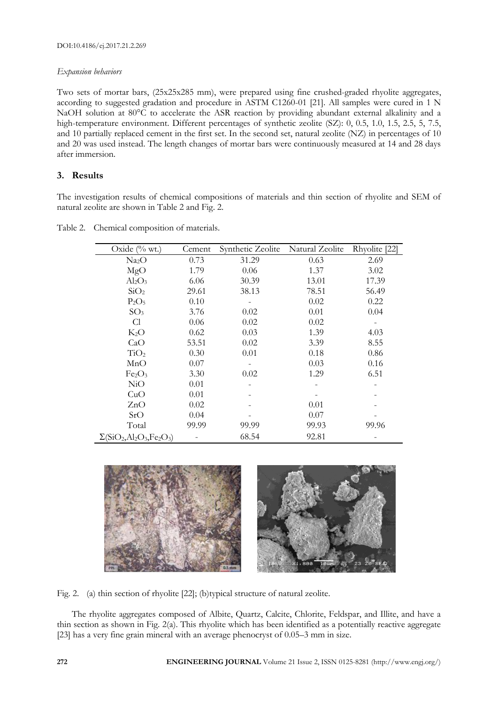# *Expansion behaviors*

Two sets of mortar bars, (25x25x285 mm), were prepared using fine crushed-graded rhyolite aggregates, according to suggested gradation and procedure in ASTM C1260-01 [21]. All samples were cured in 1 N NaOH solution at 80°C to accelerate the ASR reaction by providing abundant external alkalinity and a high-temperature environment. Different percentages of synthetic zeolite (SZ): 0, 0.5, 1.0, 1.5, 2.5, 5, 7.5, and 10 partially replaced cement in the first set. In the second set, natural zeolite (NZ) in percentages of 10 and 20 was used instead. The length changes of mortar bars were continuously measured at 14 and 28 days after immersion.

# **3. Results**

The investigation results of chemical compositions of materials and thin section of rhyolite and SEM of natural zeolite are shown in Table 2 and Fig. 2.

| Oxide $(\%$ wt.)                                                                               | Cement | Synthetic Zeolite | Natural Zeolite | Rhyolite [22] |
|------------------------------------------------------------------------------------------------|--------|-------------------|-----------------|---------------|
| Na <sub>2</sub> O                                                                              | 0.73   | 31.29             | 0.63            | 2.69          |
| MgO                                                                                            | 1.79   | 0.06              | 1.37            | 3.02          |
| $\text{Al}_2\text{O}_3$                                                                        | 6.06   | 30.39             | 13.01           | 17.39         |
| SiO <sub>2</sub>                                                                               | 29.61  | 38.13             | 78.51           | 56.49         |
| $P_2O_5$                                                                                       | 0.10   |                   | 0.02            | 0.22          |
| SO <sub>3</sub>                                                                                | 3.76   | 0.02              | 0.01            | 0.04          |
| Cl                                                                                             | 0.06   | 0.02              | 0.02            |               |
| K <sub>2</sub> O                                                                               | 0.62   | 0.03              | 1.39            | 4.03          |
| CaO                                                                                            | 53.51  | 0.02              | 3.39            | 8.55          |
| TiO <sub>2</sub>                                                                               | 0.30   | 0.01              | 0.18            | 0.86          |
| MnO                                                                                            | 0.07   |                   | 0.03            | 0.16          |
| Fe <sub>2</sub> O <sub>3</sub>                                                                 | 3.30   | 0.02              | 1.29            | 6.51          |
| NiO                                                                                            | 0.01   |                   |                 |               |
| CuO                                                                                            | 0.01   |                   |                 |               |
| ZnO                                                                                            | 0.02   |                   | 0.01            |               |
| SrO                                                                                            | 0.04   |                   | 0.07            |               |
| Total                                                                                          | 99.99  | 99.99             | 99.93           | 99.96         |
| $\Sigma$ (SiO <sub>2</sub> , Al <sub>2</sub> O <sub>3</sub> , Fe <sub>2</sub> O <sub>3</sub> ) |        | 68.54             | 92.81           |               |

Table 2. Chemical composition of materials.



Fig. 2. (a) thin section of rhyolite [22]; (b)typical structure of natural zeolite.

The rhyolite aggregates composed of Albite, Quartz, Calcite, Chlorite, Feldspar, and Illite, and have a thin section as shown in Fig. 2(a). This rhyolite which has been identified as a potentially reactive aggregate [23] has a very fine grain mineral with an average phenocryst of 0.05–3 mm in size.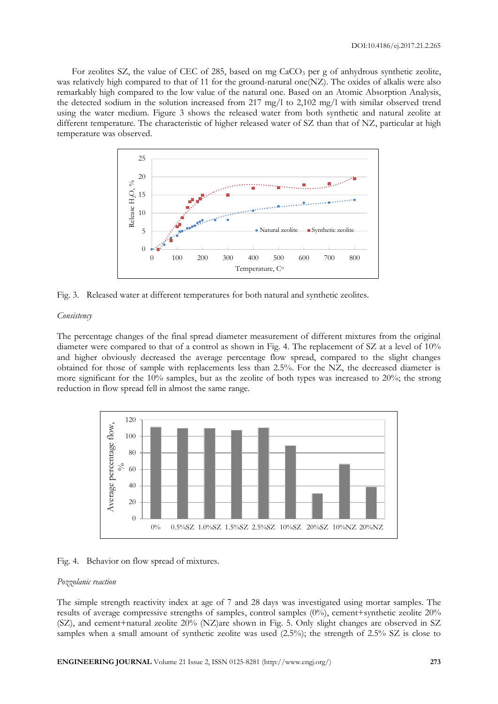For zeolites SZ, the value of CEC of 285, based on mg CaCO<sub>3</sub> per g of anhydrous synthetic zeolite, was relatively high compared to that of 11 for the ground-natural one(NZ). The oxides of alkalis were also remarkably high compared to the low value of the natural one. Based on an Atomic Absorption Analysis, the detected sodium in the solution increased from 217 mg/l to 2,102 mg/l with similar observed trend using the water medium. Figure 3 shows the released water from both synthetic and natural zeolite at different temperature. The characteristic of higher released water of SZ than that of NZ, particular at high temperature was observed.





#### *Consistency*

The percentage changes of the final spread diameter measurement of different mixtures from the original diameter were compared to that of a control as shown in Fig. 4. The replacement of SZ at a level of 10% and higher obviously decreased the average percentage flow spread, compared to the slight changes obtained for those of sample with replacements less than 2.5%. For the NZ, the decreased diameter is more significant for the 10% samples, but as the zeolite of both types was increased to 20%; the strong reduction in flow spread fell in almost the same range.





#### *Pozzolanic reaction*

The simple strength reactivity index at age of 7 and 28 days was investigated using mortar samples. The results of average compressive strengths of samples, control samples (0%), cement+synthetic zeolite 20% (SZ), and cement+natural zeolite 20% (NZ)are shown in Fig. 5. Only slight changes are observed in SZ samples when a small amount of synthetic zeolite was used (2.5%); the strength of 2.5% SZ is close to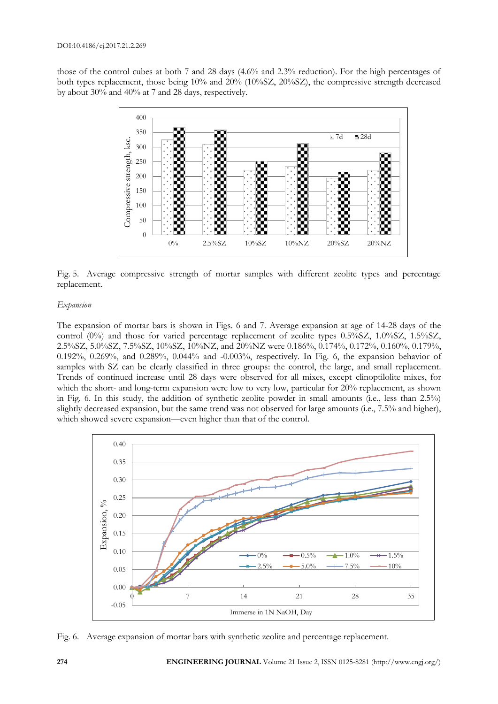those of the control cubes at both 7 and 28 days (4.6% and 2.3% reduction). For the high percentages of both types replacement, those being 10% and 20% (10%SZ, 20%SZ), the compressive strength decreased by about 30% and 40% at 7 and 28 days, respectively.



Fig. 5. Average compressive strength of mortar samples with different zeolite types and percentage replacement.

# *Expansion*

The expansion of mortar bars is shown in Figs. 6 and 7. Average expansion at age of 14-28 days of the control (0%) and those for varied percentage replacement of zeolite types 0.5%SZ, 1.0%SZ, 1.5%SZ, 2.5%SZ, 5.0%SZ, 7.5%SZ, 10%SZ, 10%NZ, and 20%NZ were 0.186%, 0.174%, 0.172%, 0.160%, 0.179%, 0.192%, 0.269%, and 0.289%, 0.044% and -0.003%, respectively. In Fig. 6, the expansion behavior of samples with SZ can be clearly classified in three groups: the control, the large, and small replacement. Trends of continued increase until 28 days were observed for all mixes, except clinoptilolite mixes, for which the short- and long-term expansion were low to very low, particular for 20% replacement, as shown in Fig. 6. In this study, the addition of synthetic zeolite powder in small amounts (i.e., less than 2.5%) slightly decreased expansion, but the same trend was not observed for large amounts (i.e., 7.5% and higher), which showed severe expansion—even higher than that of the control.



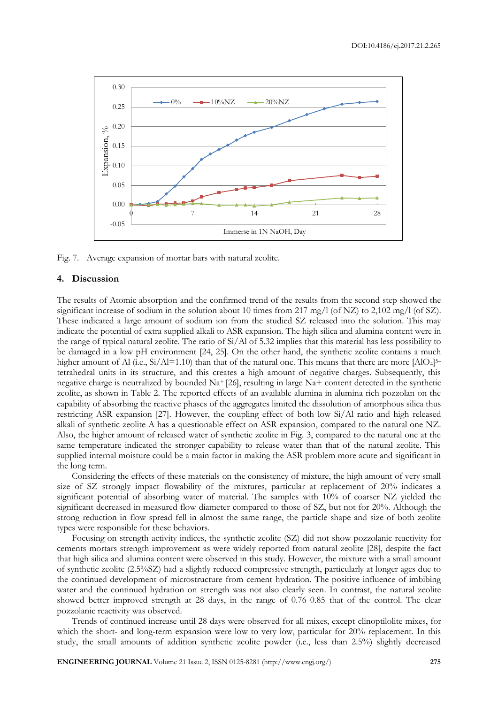

Fig. 7. Average expansion of mortar bars with natural zeolite.

# **4. Discussion**

The results of Atomic absorption and the confirmed trend of the results from the second step showed the significant increase of sodium in the solution about 10 times from 217 mg/l (of NZ) to 2,102 mg/l (of SZ). These indicated a large amount of sodium ion from the studied SZ released into the solution. This may indicate the potential of extra supplied alkali to ASR expansion. The high silica and alumina content were in the range of typical natural zeolite. The ratio of Si/Al of 5.32 implies that this material has less possibility to be damaged in a low pH environment [24, 25]. On the other hand, the synthetic zeolite contains a much higher amount of Al (i.e., Si/Al=1.10) than that of the natural one. This means that there are more [AlO<sub>4</sub>]<sup>5-</sup> tetrahedral units in its structure, and this creates a high amount of negative charges. Subsequently, this negative charge is neutralized by bounded Na+ [26], resulting in large Na+ content detected in the synthetic zeolite, as shown in Table 2. The reported effects of an available alumina in alumina rich pozzolan on the capability of absorbing the reactive phases of the aggregates limited the dissolution of amorphous silica thus restricting ASR expansion [27]. However, the coupling effect of both low Si/Al ratio and high released alkali of synthetic zeolite A has a questionable effect on ASR expansion, compared to the natural one NZ. Also, the higher amount of released water of synthetic zeolite in Fig. 3, compared to the natural one at the same temperature indicated the stronger capability to release water than that of the natural zeolite. This supplied internal moisture could be a main factor in making the ASR problem more acute and significant in the long term.

Considering the effects of these materials on the consistency of mixture, the high amount of very small size of SZ strongly impact flowability of the mixtures, particular at replacement of 20% indicates a significant potential of absorbing water of material. The samples with 10% of coarser NZ yielded the significant decreased in measured flow diameter compared to those of SZ, but not for 20%. Although the strong reduction in flow spread fell in almost the same range, the particle shape and size of both zeolite types were responsible for these behaviors.

Focusing on strength activity indices, the synthetic zeolite (SZ) did not show pozzolanic reactivity for cements mortars strength improvement as were widely reported from natural zeolite [28], despite the fact that high silica and alumina content were observed in this study. However, the mixture with a small amount of synthetic zeolite (2.5%SZ) had a slightly reduced compressive strength, particularly at longer ages due to the continued development of microstructure from cement hydration. The positive influence of imbibing water and the continued hydration on strength was not also clearly seen. In contrast, the natural zeolite showed better improved strength at 28 days, in the range of  $0.76-0.85$  that of the control. The clear pozzolanic reactivity was observed.

Trends of continued increase until 28 days were observed for all mixes, except clinoptilolite mixes, for which the short- and long-term expansion were low to very low, particular for 20% replacement. In this study, the small amounts of addition synthetic zeolite powder (i.e., less than 2.5%) slightly decreased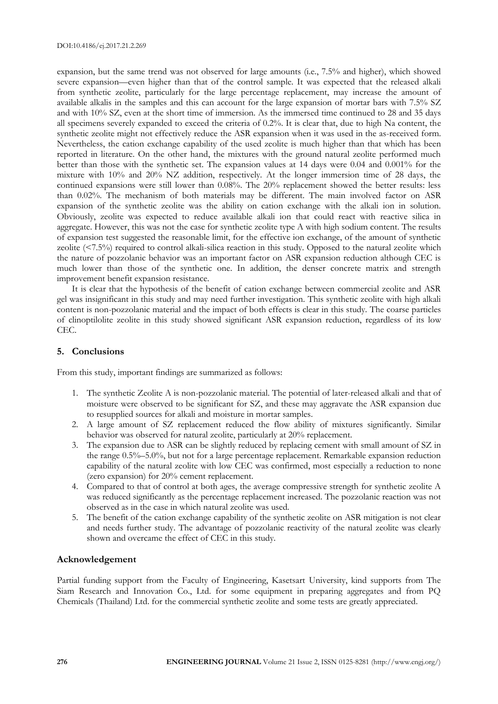expansion, but the same trend was not observed for large amounts (i.e., 7.5% and higher), which showed severe expansion—even higher than that of the control sample. It was expected that the released alkali from synthetic zeolite, particularly for the large percentage replacement, may increase the amount of available alkalis in the samples and this can account for the large expansion of mortar bars with 7.5% SZ and with 10% SZ, even at the short time of immersion. As the immersed time continued to 28 and 35 days all specimens severely expanded to exceed the criteria of 0.2%. It is clear that, due to high Na content, the synthetic zeolite might not effectively reduce the ASR expansion when it was used in the as-received form. Nevertheless, the cation exchange capability of the used zeolite is much higher than that which has been reported in literature. On the other hand, the mixtures with the ground natural zeolite performed much better than those with the synthetic set. The expansion values at 14 days were 0.04 and 0.001% for the mixture with 10% and 20% NZ addition, respectively. At the longer immersion time of 28 days, the continued expansions were still lower than 0.08%. The 20% replacement showed the better results: less than 0.02%. The mechanism of both materials may be different. The main involved factor on ASR expansion of the synthetic zeolite was the ability on cation exchange with the alkali ion in solution. Obviously, zeolite was expected to reduce available alkali ion that could react with reactive silica in aggregate. However, this was not the case for synthetic zeolite type A with high sodium content. The results of expansion test suggested the reasonable limit, for the effective ion exchange, of the amount of synthetic zeolite (<7.5%) required to control alkali-silica reaction in this study. Opposed to the natural zeolite which the nature of pozzolanic behavior was an important factor on ASR expansion reduction although CEC is much lower than those of the synthetic one. In addition, the denser concrete matrix and strength improvement benefit expansion resistance.

It is clear that the hypothesis of the benefit of cation exchange between commercial zeolite and ASR gel was insignificant in this study and may need further investigation. This synthetic zeolite with high alkali content is non-pozzolanic material and the impact of both effects is clear in this study. The coarse particles of clinoptilolite zeolite in this study showed significant ASR expansion reduction, regardless of its low CEC.

# **5. Conclusions**

From this study, important findings are summarized as follows:

- 1. The synthetic Zeolite A is non-pozzolanic material. The potential of later-released alkali and that of moisture were observed to be significant for SZ, and these may aggravate the ASR expansion due to resupplied sources for alkali and moisture in mortar samples.
- 2. A large amount of SZ replacement reduced the flow ability of mixtures significantly. Similar behavior was observed for natural zeolite, particularly at 20% replacement.
- 3. The expansion due to ASR can be slightly reduced by replacing cement with small amount of SZ in the range 0.5%–5.0%, but not for a large percentage replacement. Remarkable expansion reduction capability of the natural zeolite with low CEC was confirmed, most especially a reduction to none (zero expansion) for 20% cement replacement.
- 4. Compared to that of control at both ages, the average compressive strength for synthetic zeolite A was reduced significantly as the percentage replacement increased. The pozzolanic reaction was not observed as in the case in which natural zeolite was used.
- 5. The benefit of the cation exchange capability of the synthetic zeolite on ASR mitigation is not clear and needs further study. The advantage of pozzolanic reactivity of the natural zeolite was clearly shown and overcame the effect of CEC in this study.

# **Acknowledgement**

Partial funding support from the Faculty of Engineering, Kasetsart University, kind supports from The Siam Research and Innovation Co., Ltd. for some equipment in preparing aggregates and from PQ Chemicals (Thailand) Ltd. for the commercial synthetic zeolite and some tests are greatly appreciated.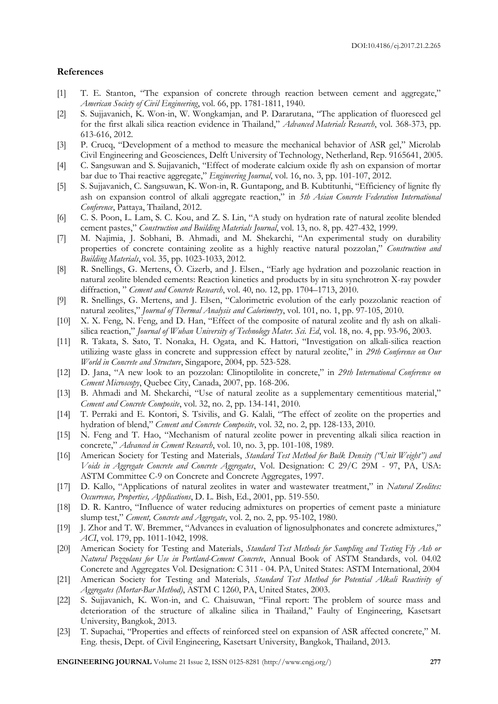#### **References**

- [1] T. E. Stanton, "The expansion of concrete through reaction between cement and aggregate," *American Society of Civil Engineering*, vol. 66, pp. 1781-1811, 1940.
- [2] S. Sujjavanich, K. Won-in, W. Wongkamjan, and P. Dararutana, "The application of fluoresced gel for the first alkali silica reaction evidence in Thailand," *Advanced Materials Research*, vol. 368-373, pp. 613-616, 2012.
- [3] P. Crucq, "Development of a method to measure the mechanical behavior of ASR gel," Microlab Civil Engineering and Geosciences, Delft University of Technology, Netherland, Rep. 9165641, 2005.
- [4] C. Sangsuwan and S. Sujjavanich, "Effect of moderate calcium oxide fly ash on expansion of mortar bar due to Thai reactive aggregate," *Engineering Journal*, vol. 16, no. 3, pp. 101-107, 2012.
- [5] S. Sujjavanich, C. Sangsuwan, K. Won-in, R. Guntapong, and B. Kubtitunhi, "Efficiency of lignite fly ash on expansion control of alkali aggregate reaction," in *5th Asian Concrete Federation International Conference*, Pattaya, Thailand, 2012.
- [6] C. S. Poon, L. Lam, S. C. Kou, and Z. S. Lin, "A study on hydration rate of natural zeolite blended cement pastes," *Construction and Building Materials Journal*, vol. 13, no. 8, pp. 427-432, 1999.
- [7] M. Najimia, J. Sobhani, B. Ahmadi, and M. Shekarchi, "An experimental study on durability properties of concrete containing zeolite as a highly reactive natural pozzolan," *Construction and Building Materials*, vol. 35, pp. 1023-1033, 2012.
- [8] R. Snellings, G. Mertens, Ö. Cizerb, and J. Elsen., "Early age hydration and pozzolanic reaction in natural zeolite blended cements: Reaction kinetics and products by in situ synchrotron X-ray powder diffraction, " *Cement and Concrete Research*, vol. 40, no. 12, pp. 1704–1713, 2010.
- [9] R. Snellings, G. Mertens, and J. Elsen, "Calorimetric evolution of the early pozzolanic reaction of natural zeolites," *Journal of Thermal Analysis and Calorimetry*, vol. 101, no. 1, pp. 97-105, 2010.
- [10] X. X. Feng, N. Feng, and D. Han, "Effect of the composite of natural zeolite and fly ash on alkalisilica reaction," *Journal of Wuhan University of Technology Mater. Sci. Ed*, vol. 18, no. 4, pp. 93-96, 2003.
- [11] R. Takata, S. Sato, T. Nonaka, H. Ogata, and K. Hattori, "Investigation on alkali-silica reaction utilizing waste glass in concrete and suppression effect by natural zeolite," in *29th Conference on Our World in Concrete and Structure*, Singapore, 2004, pp. 523-528.
- [12] D. Jana, "A new look to an pozzolan: Clinoptilolite in concrete," in *29th International Conference on Cement Microscopy*, Quebec City, Canada, 2007, pp. 168-206.
- [13] B. Ahmadi and M. Shekarchi, "Use of natural zeolite as a supplementary cementitious material," *Cement and Concrete Composite*, vol. 32, no. 2, pp. 134-141, 2010.
- [14] T. Perraki and E. Kontori, S. Tsivilis, and G. Kalali, "The effect of zeolite on the properties and hydration of blend," *Cement and Concrete Composite*, vol. 32, no. 2, pp. 128-133, 2010.
- [15] N. Feng and T. Hao, "Mechanism of natural zeolite power in preventing alkali silica reaction in concrete," *Advanced in Cement Research*, vol. 10, no. 3, pp. 101-108, 1989.
- [16] American Society for Testing and Materials, *Standard Test Method for Bulk Density ("Unit Weight") and Voids in Aggregate Concrete and Concrete Aggregates*, Vol. Designation: C 29/C 29M - 97, PA, USA: ASTM Committee C-9 on Concrete and Concrete Aggregates, 1997.
- [17] D. Kallo, "Applications of natural zeolites in water and wastewater treatment," in *Natural Zeolites: Occurrence, Properties, Applications*, D. L. Bish, Ed., 2001, pp. 519-550.
- [18] D. R. Kantro, "Influence of water reducing admixtures on properties of cement paste a miniature slump test," *Cement, Concrete and Aggregate*, vol. 2, no. 2, pp. 95-102, 1980.
- [19] J. Zhor and T. W. Bremmer, "Advances in evaluation of lignosulphonates and concrete admixtures," *ACI*, vol. 179, pp. 1011-1042, 1998.
- [20] American Society for Testing and Materials, *Standard Test Methods for Sampling and Testing Fly Ash or Natural Pozzolans for Use in Portland-Cement Concrete*, Annual Book of ASTM Standards, vol. 04.02 Concrete and Aggregates Vol. Designation: C 311 - 04. PA, United States: ASTM International, 2004
- [21] American Society for Testing and Materials, *Standard Test Method for Potential Alkali Reactivity of Aggregates (Mortar-Bar Method)*, ASTM C 1260, PA, United States, 2003.
- [22] S. Sujjavanich, K. Won-in, and C. Chaisuwan, "Final report: The problem of source mass and deterioration of the structure of alkaline silica in Thailand," Faulty of Engineering, Kasetsart University, Bangkok, 2013.
- [23] T. Supachai, "Properties and effects of reinforced steel on expansion of ASR affected concrete," M. Eng. thesis, Dept. of Civil Engineering, Kasetsart University, Bangkok, Thailand, 2013.